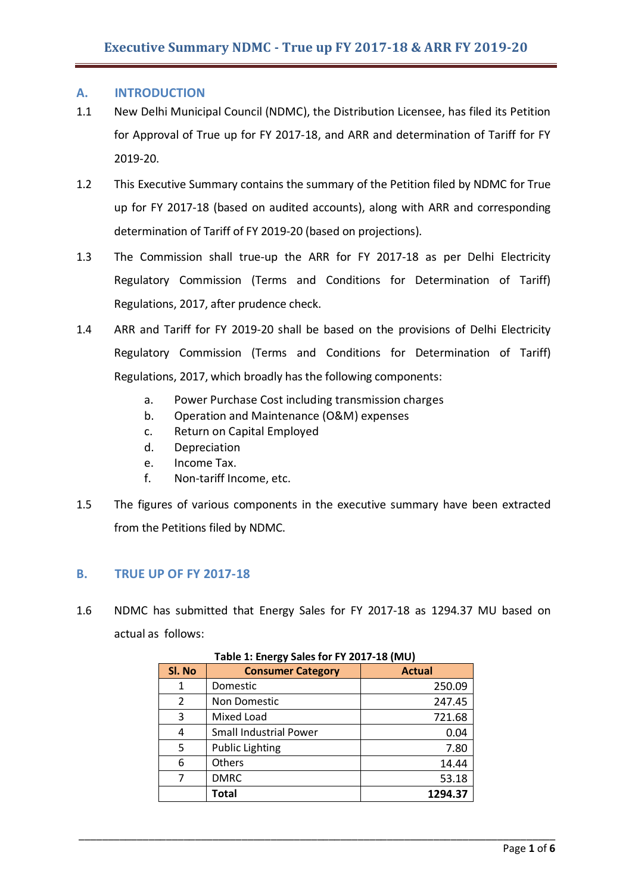## **A. INTRODUCTION**

- 1.1 New Delhi Municipal Council (NDMC), the Distribution Licensee, has filed its Petition for Approval of True up for FY 2017-18, and ARR and determination of Tariff for FY 2019-20.
- 1.2 This Executive Summary contains the summary of the Petition filed by NDMC for True up for FY 2017-18 (based on audited accounts), along with ARR and corresponding determination of Tariff of FY 2019-20 (based on projections).
- 1.3 The Commission shall true-up the ARR for FY 2017-18 as per Delhi Electricity Regulatory Commission (Terms and Conditions for Determination of Tariff) Regulations, 2017, after prudence check.
- 1.4 ARR and Tariff for FY 2019-20 shall be based on the provisions of Delhi Electricity Regulatory Commission (Terms and Conditions for Determination of Tariff) Regulations, 2017, which broadly has the following components:
	- a. Power Purchase Cost including transmission charges
	- b. Operation and Maintenance (O&M) expenses
	- c. Return on Capital Employed
	- d. Depreciation
	- e. Income Tax.
	- f. Non-tariff Income, etc.
- 1.5 The figures of various components in the executive summary have been extracted from the Petitions filed by NDMC.

# **B. TRUE UP OF FY 2017-18**

1.6 NDMC has submitted that Energy Sales for FY 2017-18 as 1294.37 MU based on actual as follows:

| Sl. No | <b>Consumer Category</b>      | <b>Actual</b> |
|--------|-------------------------------|---------------|
|        | Domestic                      | 250.09        |
| 2      | Non Domestic                  | 247.45        |
| 3      | Mixed Load                    | 721.68        |
| 4      | <b>Small Industrial Power</b> | 0.04          |
| 5      | <b>Public Lighting</b>        | 7.80          |
| 6      | <b>Others</b>                 | 14.44         |
|        | <b>DMRC</b>                   | 53.18         |
|        | Total                         | 1294.37       |

\_\_\_\_\_\_\_\_\_\_\_\_\_\_\_\_\_\_\_\_\_\_\_\_\_\_\_\_\_\_\_\_\_\_\_\_\_\_\_\_\_\_\_\_\_\_\_\_\_\_\_\_\_\_\_\_\_\_\_\_\_\_\_\_\_\_\_\_\_\_\_\_\_\_\_\_\_\_\_\_\_\_

# **Table 1: Energy Sales for FY 2017-18 (MU)**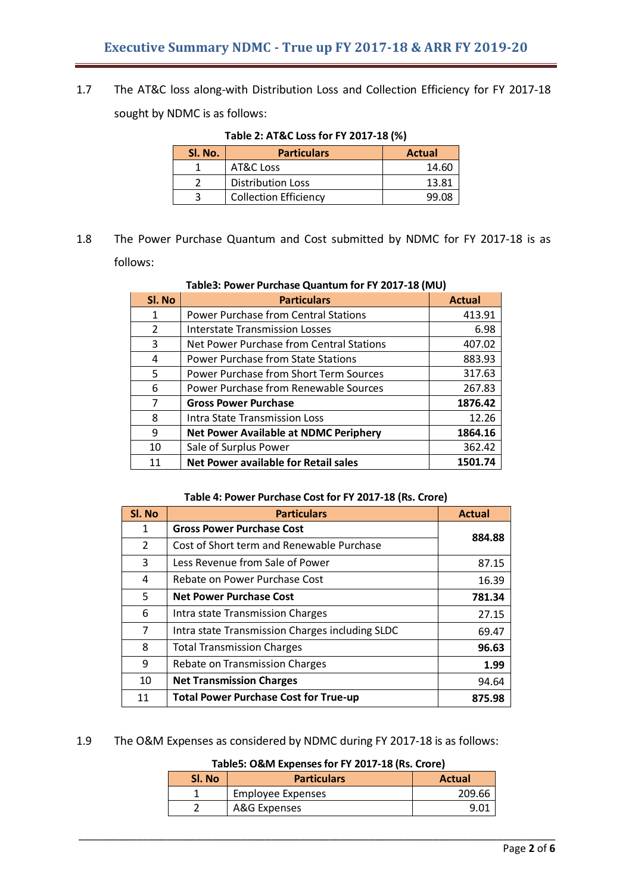1.7 The AT&C loss along-with Distribution Loss and Collection Efficiency for FY 2017-18 sought by NDMC is as follows:

| Table 2: AT&C Loss for FY 2017-18 (%) |  |
|---------------------------------------|--|
|---------------------------------------|--|

| SI. No. | <b>Particulars</b>           | Actual |
|---------|------------------------------|--------|
|         | AT&C Loss                    | 14.60  |
|         | <b>Distribution Loss</b>     | 13.81  |
|         | <b>Collection Efficiency</b> | 99 U.S |

1.8 The Power Purchase Quantum and Cost submitted by NDMC for FY 2017-18 is as follows:

| Sl. No         | <b>Particulars</b>                            | <b>Actual</b> |
|----------------|-----------------------------------------------|---------------|
| $\mathbf{1}$   | <b>Power Purchase from Central Stations</b>   | 413.91        |
| $\overline{2}$ | Interstate Transmission Losses                | 6.98          |
| 3              | Net Power Purchase from Central Stations      | 407.02        |
| 4              | <b>Power Purchase from State Stations</b>     | 883.93        |
| 5              | <b>Power Purchase from Short Term Sources</b> | 317.63        |
| 6              | Power Purchase from Renewable Sources         | 267.83        |
| $\overline{7}$ | <b>Gross Power Purchase</b>                   | 1876.42       |
| 8              | Intra State Transmission Loss                 | 12.26         |
| 9              | <b>Net Power Available at NDMC Periphery</b>  | 1864.16       |
| 10             | Sale of Surplus Power                         | 362.42        |
| 11             | <b>Net Power available for Retail sales</b>   | 1501.74       |

#### **Table3: Power Purchase Quantum for FY 2017-18 (MU)**

#### **Table 4: Power Purchase Cost for FY 2017-18 (Rs. Crore)**

| SI. No        | <b>Particulars</b>                              | <b>Actual</b> |  |
|---------------|-------------------------------------------------|---------------|--|
| 1             | <b>Gross Power Purchase Cost</b>                | 884.88        |  |
| $\mathcal{L}$ | Cost of Short term and Renewable Purchase       |               |  |
| 3             | Less Revenue from Sale of Power                 | 87.15         |  |
| 4             | Rebate on Power Purchase Cost                   | 16.39         |  |
| 5             | <b>Net Power Purchase Cost</b>                  | 781.34        |  |
| 6             | Intra state Transmission Charges                | 27.15         |  |
| 7             | Intra state Transmission Charges including SLDC | 69.47         |  |
| 8             | <b>Total Transmission Charges</b>               | 96.63         |  |
| 9             | Rebate on Transmission Charges                  | 1.99          |  |
| 10            | <b>Net Transmission Charges</b>                 | 94.64         |  |
| 11            | <b>Total Power Purchase Cost for True-up</b>    | 875.98        |  |

1.9 The O&M Expenses as considered by NDMC during FY 2017-18 is as follows:

## **Table5: O&M Expensesfor FY 2017-18 (Rs. Crore)**

| Sl. No | <b>Particulars</b>       | <b>Actual</b> |
|--------|--------------------------|---------------|
|        | <b>Employee Expenses</b> | 209.66        |
|        | A&G Expenses             |               |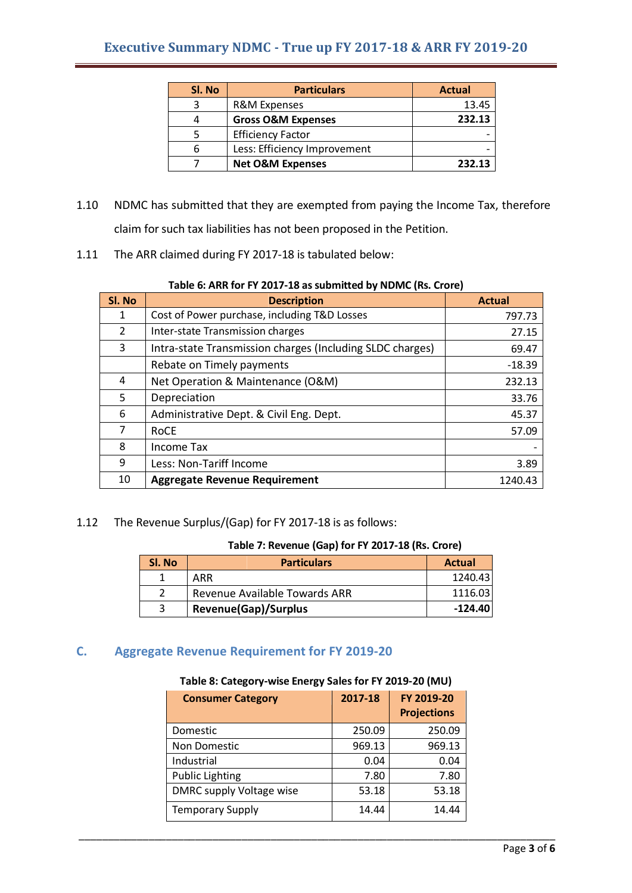| Sl. No | <b>Particulars</b>            | <b>Actual</b> |
|--------|-------------------------------|---------------|
| 3      | R&M Expenses                  | 13.45         |
| 4      | <b>Gross O&amp;M Expenses</b> | 232.13        |
|        | <b>Efficiency Factor</b>      |               |
| 6      | Less: Efficiency Improvement  |               |
|        | <b>Net O&amp;M Expenses</b>   | 232.13        |

- 1.10 NDMC has submitted that they are exempted from paying the Income Tax, therefore claim for such tax liabilities has not been proposed in the Petition.
- 1.11 The ARR claimed during FY 2017-18 is tabulated below:

#### **Table 6: ARR for FY 2017-18 assubmitted by NDMC (Rs. Crore)**

| SI. No        | <b>Description</b>                                        | <b>Actual</b> |
|---------------|-----------------------------------------------------------|---------------|
| 1             | Cost of Power purchase, including T&D Losses              | 797.73        |
| $\mathcal{P}$ | Inter-state Transmission charges                          | 27.15         |
| 3             | Intra-state Transmission charges (Including SLDC charges) | 69.47         |
|               | Rebate on Timely payments                                 | $-18.39$      |
| 4             | Net Operation & Maintenance (O&M)                         | 232.13        |
| 5             | Depreciation                                              | 33.76         |
| 6             | Administrative Dept. & Civil Eng. Dept.                   | 45.37         |
| 7             | <b>RoCE</b>                                               | 57.09         |
| 8             | Income Tax                                                |               |
| 9             | Less: Non-Tariff Income                                   | 3.89          |
| 10            | <b>Aggregate Revenue Requirement</b>                      | 1240.43       |

1.12 The Revenue Surplus/(Gap) for FY 2017-18 is as follows:

## **Table 7: Revenue (Gap) for FY 2017-18 (Rs. Crore)**

| Sl. No | <b>Particulars</b>            | <b>Actual</b> |
|--------|-------------------------------|---------------|
|        | ARR                           | 1240.43       |
|        | Revenue Available Towards ARR | 1116.03       |
|        | <b>Revenue(Gap)/Surplus</b>   | $-124.40$     |

# **C. Aggregate Revenue Requirement for FY 2019-20**

## **Table 8: Category-wise Energy Sales for FY 2019-20 (MU)**

| <b>Consumer Category</b> | 2017-18 | FY 2019-20<br><b>Projections</b> |
|--------------------------|---------|----------------------------------|
| Domestic                 | 250.09  | 250.09                           |
| Non Domestic             | 969.13  | 969.13                           |
| Industrial               | 0.04    | 0.04                             |
| <b>Public Lighting</b>   | 7.80    | 7.80                             |
| DMRC supply Voltage wise | 53.18   | 53.18                            |
| <b>Temporary Supply</b>  | 14.44   | 14.44                            |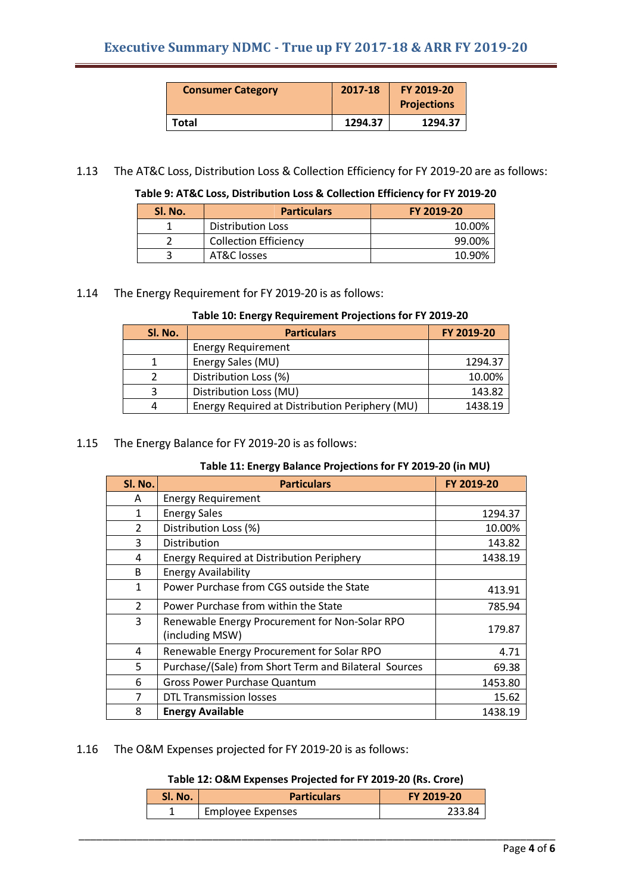| <b>Consumer Category</b> | 2017-18 | FY 2019-20<br><b>Projections</b> |
|--------------------------|---------|----------------------------------|
| Total                    | 1294.37 | 1294.37                          |

1.13 The AT&C Loss, Distribution Loss & Collection Efficiency for FY 2019-20 are as follows:

**Table 9: AT&C Loss, Distribution Loss & Collection Efficiency for FY 2019-20**

| Sl. No. | <b>Particulars</b>           | FY 2019-20 |
|---------|------------------------------|------------|
|         | Distribution Loss            | 10.00%     |
|         | <b>Collection Efficiency</b> | 99.00%     |
|         | AT&C losses                  | 10.90%     |

## 1.14 The Energy Requirement for FY 2019-20 is as follows:

#### **Table 10: Energy Requirement Projections for FY 2019-20**

| SI. No. | <b>Particulars</b>                             | FY 2019-20 |
|---------|------------------------------------------------|------------|
|         | <b>Energy Requirement</b>                      |            |
|         | Energy Sales (MU)                              | 1294.37    |
|         | Distribution Loss (%)                          | 10.00%     |
|         | Distribution Loss (MU)                         | 143.82     |
|         | Energy Required at Distribution Periphery (MU) | 1438.19    |

#### 1.15 The Energy Balance for FY 2019-20 is as follows:

## **Table 11: Energy Balance Projections for FY 2019-20 (in MU)**

| SI. No.       | <b>Particulars</b>                                                | FY 2019-20 |
|---------------|-------------------------------------------------------------------|------------|
| A             | <b>Energy Requirement</b>                                         |            |
| 1             | <b>Energy Sales</b>                                               | 1294.37    |
| $\mathcal{P}$ | Distribution Loss (%)                                             | 10.00%     |
| 3             | Distribution                                                      | 143.82     |
| 4             | <b>Energy Required at Distribution Periphery</b>                  | 1438.19    |
| B             | <b>Energy Availability</b>                                        |            |
| $\mathbf{1}$  | Power Purchase from CGS outside the State                         | 413.91     |
| $\mathcal{P}$ | Power Purchase from within the State                              | 785.94     |
| 3             | Renewable Energy Procurement for Non-Solar RPO<br>(including MSW) | 179.87     |
| 4             | Renewable Energy Procurement for Solar RPO                        | 4.71       |
| 5             | Purchase/(Sale) from Short Term and Bilateral Sources             | 69.38      |
| 6             | <b>Gross Power Purchase Quantum</b>                               | 1453.80    |
| 7             | <b>DTL Transmission losses</b>                                    | 15.62      |
| 8             | <b>Energy Available</b>                                           | 1438.19    |

## 1.16 The O&M Expenses projected for FY 2019-20 is as follows:

# **Table 12: O&M Expenses Projected for FY 2019-20 (Rs. Crore)**

| <b>Sl. No.</b> | <b>Particulars</b>       | FY 2019-20 |
|----------------|--------------------------|------------|
|                | <b>Employee Expenses</b> |            |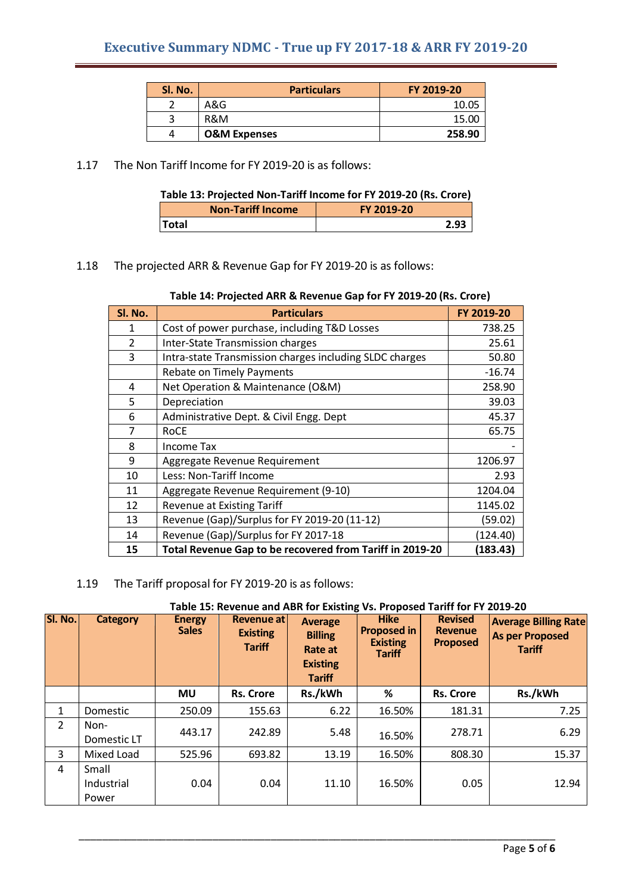| SI. No. | <b>Particulars</b>      | FY 2019-20 |
|---------|-------------------------|------------|
|         | A&G                     | 10.05      |
|         | R&M                     | 15.00      |
|         | <b>O&amp;M Expenses</b> | 258.90     |

1.17 The Non Tariff Income for FY 2019-20 is as follows:

| Table 13: Projected Non-Tariff Income for FY 2019-20 (Rs. Crore) |  |
|------------------------------------------------------------------|--|
|------------------------------------------------------------------|--|

| <b>Non-Tariff Income</b> | FY 2019-20 |
|--------------------------|------------|
| <b>Total</b>             |            |

1.18 The projected ARR & Revenue Gap for FY 2019-20 is as follows:

| Table 14: Projected ARR & Revenue Gap for FY 2019-20 (Rs. Crore) |  |  |  |  |  |  |  |
|------------------------------------------------------------------|--|--|--|--|--|--|--|
|------------------------------------------------------------------|--|--|--|--|--|--|--|

| SI. No. | <b>Particulars</b>                                       | FY 2019-20 |
|---------|----------------------------------------------------------|------------|
| 1       | Cost of power purchase, including T&D Losses             | 738.25     |
| 2       | Inter-State Transmission charges                         | 25.61      |
| 3       | Intra-state Transmission charges including SLDC charges  | 50.80      |
|         | <b>Rebate on Timely Payments</b>                         | $-16.74$   |
| 4       | Net Operation & Maintenance (O&M)                        | 258.90     |
| 5       | Depreciation                                             | 39.03      |
| 6       | Administrative Dept. & Civil Engg. Dept                  | 45.37      |
| 7       | <b>RoCE</b>                                              | 65.75      |
| 8       | Income Tax                                               |            |
| 9       | Aggregate Revenue Requirement                            | 1206.97    |
| 10      | Less: Non-Tariff Income                                  | 2.93       |
| 11      | Aggregate Revenue Requirement (9-10)                     | 1204.04    |
| 12      | <b>Revenue at Existing Tariff</b>                        | 1145.02    |
| 13      | Revenue (Gap)/Surplus for FY 2019-20 (11-12)             | (59.02)    |
| 14      | Revenue (Gap)/Surplus for FY 2017-18                     | (124.40)   |
| 15      | Total Revenue Gap to be recovered from Tariff in 2019-20 | (183.43)   |

1.19 The Tariff proposal for FY 2019-20 is as follows:

| Sl. No.        | <b>Category</b>              | <b>Energy</b><br><b>Sales</b> | Revenue at<br><b>Existing</b><br><b>Tariff</b> | <b>Average</b><br><b>Billing</b><br>Rate at<br><b>Existing</b><br><b>Tariff</b> | <b>Hike</b><br><b>Proposed in</b><br><b>Existing</b><br><b>Tariff</b> | <b>Revised</b><br><b>Revenue</b><br><b>Proposed</b> | <b>Average Billing Rate</b><br><b>As per Proposed</b><br><b>Tariff</b> |
|----------------|------------------------------|-------------------------------|------------------------------------------------|---------------------------------------------------------------------------------|-----------------------------------------------------------------------|-----------------------------------------------------|------------------------------------------------------------------------|
|                |                              | <b>MU</b>                     | <b>Rs. Crore</b>                               | Rs./kWh                                                                         | %                                                                     | <b>Rs. Crore</b>                                    | Rs./kWh                                                                |
| $\mathbf{1}$   | Domestic                     | 250.09                        | 155.63                                         | 6.22                                                                            | 16.50%                                                                | 181.31                                              | 7.25                                                                   |
| $\overline{2}$ | Non-<br>Domestic LT          | 443.17                        | 242.89                                         | 5.48                                                                            | 16.50%                                                                | 278.71                                              | 6.29                                                                   |
| 3              | Mixed Load                   | 525.96                        | 693.82                                         | 13.19                                                                           | 16.50%                                                                | 808.30                                              | 15.37                                                                  |
| 4              | Small<br>Industrial<br>Power | 0.04                          | 0.04                                           | 11.10                                                                           | 16.50%                                                                | 0.05                                                | 12.94                                                                  |

\_\_\_\_\_\_\_\_\_\_\_\_\_\_\_\_\_\_\_\_\_\_\_\_\_\_\_\_\_\_\_\_\_\_\_\_\_\_\_\_\_\_\_\_\_\_\_\_\_\_\_\_\_\_\_\_\_\_\_\_\_\_\_\_\_\_\_\_\_\_\_\_\_\_\_\_\_\_\_\_\_\_

#### **Table 15: Revenue and ABR for Existing Vs. Proposed Tariff for FY 2019-20**